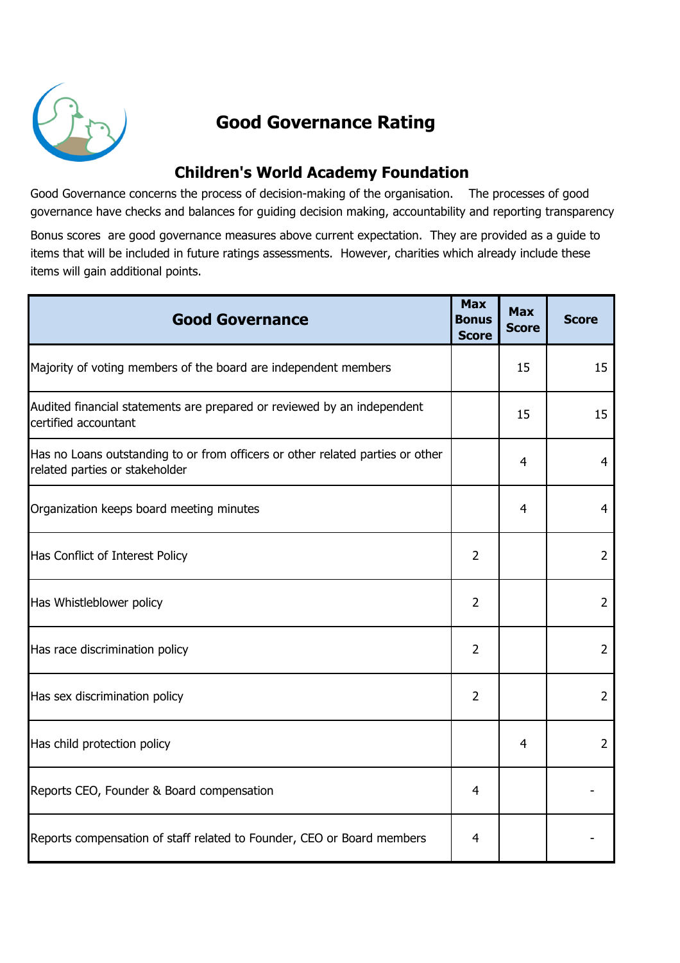

## Good Governance Rating

## Children's World Academy Foundation

Good Governance concerns the process of decision-making of the organisation. The processes of good governance have checks and balances for guiding decision making, accountability and reporting transparency.

Bonus scores are good governance measures above current expectation. They are provided as a guide to items that will be included in future ratings assessments. However, charities which already include these items will gain additional points.

| <b>Good Governance</b>                                                                                           | <b>Max</b><br>Bonus<br><b>Score</b> | <b>Max</b><br><b>Score</b> | <b>Score</b>   |
|------------------------------------------------------------------------------------------------------------------|-------------------------------------|----------------------------|----------------|
| Majority of voting members of the board are independent members                                                  |                                     | 15                         | 15             |
| Audited financial statements are prepared or reviewed by an independent<br>certified accountant                  |                                     | 15                         | 15             |
| Has no Loans outstanding to or from officers or other related parties or other<br>related parties or stakeholder |                                     | 4                          | 4              |
| Organization keeps board meeting minutes                                                                         |                                     | 4                          | 4              |
| Has Conflict of Interest Policy                                                                                  | 2                                   |                            | 2              |
| Has Whistleblower policy                                                                                         | 2                                   |                            | $\overline{2}$ |
| Has race discrimination policy                                                                                   | $\overline{2}$                      |                            | $\overline{2}$ |
| Has sex discrimination policy                                                                                    | $\overline{2}$                      |                            | $\overline{2}$ |
| Has child protection policy                                                                                      |                                     | $\overline{4}$             | $\overline{2}$ |
| Reports CEO, Founder & Board compensation                                                                        | $\overline{4}$                      |                            |                |
| Reports compensation of staff related to Founder, CEO or Board members                                           | 4                                   |                            |                |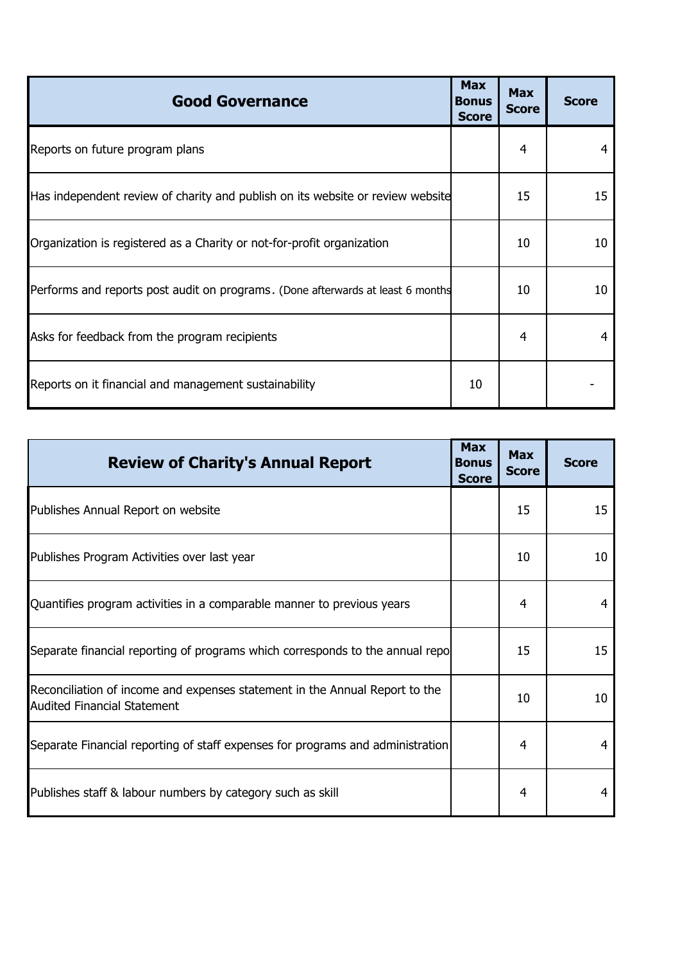| <b>Good Governance</b>                                                          | <b>Max</b><br><b>Bonus</b><br><b>Score</b> | <b>Max</b><br><b>Score</b> | <b>Score</b> |
|---------------------------------------------------------------------------------|--------------------------------------------|----------------------------|--------------|
| Reports on future program plans                                                 |                                            | 4                          | 4            |
| Has independent review of charity and publish on its website or review website  |                                            | 15                         | 15           |
| Organization is registered as a Charity or not-for-profit organization          |                                            | 10                         | 10           |
| Performs and reports post audit on programs. (Done afterwards at least 6 months |                                            | 10                         | 10           |
| Asks for feedback from the program recipients                                   |                                            | 4                          | 4            |
| Reports on it financial and management sustainability                           | 10                                         |                            |              |

| <b>Review of Charity's Annual Report</b>                                                                          | <b>Max</b><br><b>Bonus</b><br><b>Score</b> | <b>Max</b><br><b>Score</b> | <b>Score</b> |
|-------------------------------------------------------------------------------------------------------------------|--------------------------------------------|----------------------------|--------------|
| Publishes Annual Report on website                                                                                |                                            | 15                         | 15           |
| Publishes Program Activities over last year                                                                       |                                            | 10                         | 10           |
| Quantifies program activities in a comparable manner to previous years                                            |                                            | 4                          | 4            |
| Separate financial reporting of programs which corresponds to the annual repo                                     |                                            | 15                         | 15           |
| Reconciliation of income and expenses statement in the Annual Report to the<br><b>Audited Financial Statement</b> |                                            | 10                         | 10           |
| Separate Financial reporting of staff expenses for programs and administration                                    |                                            | 4                          | 4            |
| Publishes staff & labour numbers by category such as skill                                                        |                                            | 4                          | 4            |